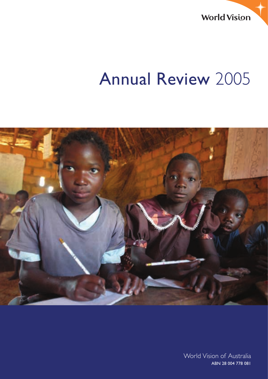**World Vision** 

## Annual Review 2005



Annual Review 2005 World Vision of Australia World Vision of Australia ABN 28 004 778 081 ABN 28 004 778 081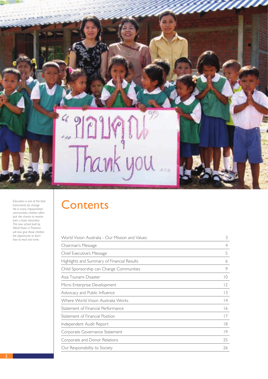*Education is one of the best instruments for change. Yet in many impoverished communities, children often lack the chance to receive even a basic education. This new school built by World Vision in Thailand, will now give these children the opportunity to learn how to read and write.*

## **Contents**

Thank you

| World Vision Australia - Our Mission and Values | 3              |
|-------------------------------------------------|----------------|
| Chairman's Message                              | $\overline{4}$ |
| Chief Executive's Message                       | 5              |
| Highlights and Summary of Financial Results     | 6              |
| Child Sponsorship can Change Communities        | 9              |
| Asia Tsunami Disaster                           | $\overline{0}$ |
| Micro Enterprise Development                    | $\overline{2}$ |
| Advocacy and Public Influence                   | 13             |
| Where World Vision Australia Works              | 4              |
| Statement of Financial Performance              | 16             |
| Statement of Financial Position                 | 17             |
| Independent Audit Report                        | 18             |
| Corporate Governance Statement                  | 9              |
| Corporate and Donor Relations                   | 25             |
| Our Responsibility to Society                   | 26             |
|                                                 |                |